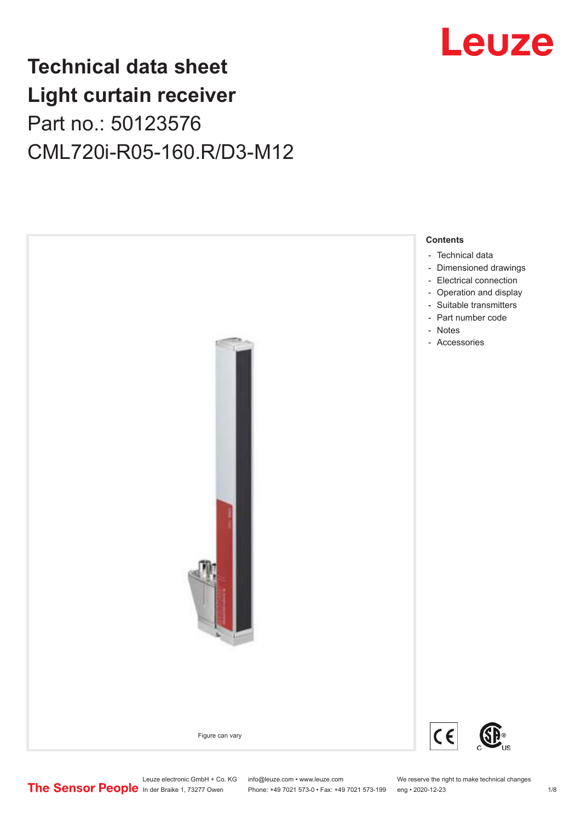## Leuze

## **Technical data sheet Light curtain receiver** Part no.: 50123576 CML720i-R05-160.R/D3-M12



Leuze electronic GmbH + Co. KG info@leuze.com • www.leuze.com We reserve the right to make technical changes<br>
The Sensor People in der Braike 1, 73277 Owen Phone: +49 7021 573-0 • Fax: +49 7021 573-199 eng • 2020-12-23 Phone: +49 7021 573-0 • Fax: +49 7021 573-199 eng • 2020-12-23 1 /8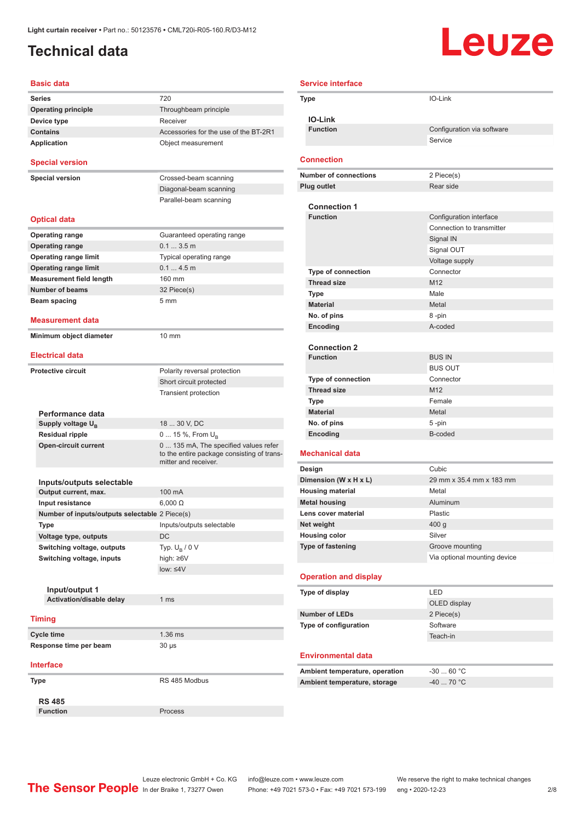### <span id="page-1-0"></span>**Technical data**

# **Leuze**

| <b>Basic data</b>                                  |                                                                                                             |
|----------------------------------------------------|-------------------------------------------------------------------------------------------------------------|
| <b>Series</b>                                      | 720                                                                                                         |
| <b>Operating principle</b>                         | Throughbeam principle                                                                                       |
| Device type                                        | Receiver                                                                                                    |
| <b>Contains</b>                                    | Accessories for the use of the BT-2R1                                                                       |
| <b>Application</b>                                 | Object measurement                                                                                          |
| <b>Special version</b>                             |                                                                                                             |
| <b>Special version</b>                             | Crossed-beam scanning                                                                                       |
|                                                    | Diagonal-beam scanning                                                                                      |
|                                                    | Parallel-beam scanning                                                                                      |
| <b>Optical data</b>                                |                                                                                                             |
| <b>Operating range</b>                             | Guaranteed operating range                                                                                  |
| <b>Operating range</b>                             | 0.13.5m                                                                                                     |
| <b>Operating range limit</b>                       | Typical operating range                                                                                     |
| <b>Operating range limit</b>                       | 0.14.5m                                                                                                     |
| <b>Measurement field length</b>                    | 160 mm                                                                                                      |
| <b>Number of beams</b>                             | 32 Piece(s)                                                                                                 |
| Beam spacing                                       | 5 <sub>mm</sub>                                                                                             |
|                                                    |                                                                                                             |
| <b>Measurement data</b><br>Minimum object diameter | 10 mm                                                                                                       |
| <b>Electrical data</b>                             |                                                                                                             |
|                                                    |                                                                                                             |
| <b>Protective circuit</b>                          | Polarity reversal protection                                                                                |
|                                                    | Short circuit protected                                                                                     |
|                                                    | <b>Transient protection</b>                                                                                 |
|                                                    |                                                                                                             |
| Performance data                                   |                                                                                                             |
| Supply voltage U <sub>R</sub>                      | 18  30 V, DC                                                                                                |
| <b>Residual ripple</b>                             | 0  15 %, From $U_{\rm B}$                                                                                   |
| <b>Open-circuit current</b>                        | 0  135 mA, The specified values refer<br>to the entire package consisting of trans-<br>mitter and receiver. |
| Inputs/outputs selectable                          |                                                                                                             |
| Output current, max.                               | 100 mA                                                                                                      |
| Input resistance                                   | $6,000 \Omega$                                                                                              |
|                                                    |                                                                                                             |
| Number of inputs/outputs selectable 2 Piece(s)     |                                                                                                             |
| Type                                               | Inputs/outputs selectable                                                                                   |
| Voltage type, outputs                              | <b>DC</b>                                                                                                   |
| Switching voltage, outputs                         | Typ. $U_{\rm B}$ / 0 V                                                                                      |
| Switching voltage, inputs                          | high: $\geq 6V$                                                                                             |
|                                                    | $low: 4V$                                                                                                   |
|                                                    |                                                                                                             |
| Input/output 1                                     |                                                                                                             |
| Activation/disable delay                           | 1 ms                                                                                                        |
| <b>Timing</b>                                      |                                                                                                             |
| <b>Cycle time</b>                                  | 1.36 ms                                                                                                     |
| Response time per beam                             | $30 \mu s$                                                                                                  |
| <b>Interface</b>                                   |                                                                                                             |
| Type                                               | RS 485 Modbus                                                                                               |
|                                                    |                                                                                                             |
| <b>RS 485</b>                                      |                                                                                                             |
| <b>Function</b>                                    | Process                                                                                                     |

| <b>Service interface</b> |                                        |                                                 |  |  |
|--------------------------|----------------------------------------|-------------------------------------------------|--|--|
|                          | IO-Link<br>Type                        |                                                 |  |  |
|                          |                                        |                                                 |  |  |
|                          | <b>IO-Link</b>                         |                                                 |  |  |
|                          | <b>Function</b>                        | Configuration via software                      |  |  |
|                          |                                        | Service                                         |  |  |
|                          | <b>Connection</b>                      |                                                 |  |  |
|                          | <b>Number of connections</b>           | 2 Piece(s)                                      |  |  |
|                          | <b>Plug outlet</b>                     | Rear side                                       |  |  |
|                          |                                        |                                                 |  |  |
|                          | <b>Connection 1</b><br><b>Function</b> | Configuration interface                         |  |  |
|                          |                                        | Connection to transmitter                       |  |  |
|                          |                                        | Signal IN                                       |  |  |
|                          |                                        | Signal OUT                                      |  |  |
|                          |                                        | Voltage supply                                  |  |  |
|                          | <b>Type of connection</b>              | Connector                                       |  |  |
|                          | <b>Thread size</b>                     | M <sub>12</sub>                                 |  |  |
|                          | Type                                   | Male                                            |  |  |
|                          | <b>Material</b>                        | Metal                                           |  |  |
|                          | No. of pins                            | 8-pin                                           |  |  |
|                          | Encoding                               | A-coded                                         |  |  |
|                          |                                        |                                                 |  |  |
|                          | <b>Connection 2</b>                    |                                                 |  |  |
|                          | <b>Function</b>                        | <b>BUS IN</b><br><b>BUS OUT</b>                 |  |  |
|                          | Type of connection                     | Connector                                       |  |  |
|                          | <b>Thread size</b>                     | M <sub>12</sub>                                 |  |  |
|                          | Type                                   | Female                                          |  |  |
|                          | <b>Material</b>                        | Metal                                           |  |  |
|                          | No. of pins                            | 5-pin                                           |  |  |
|                          | Encoding                               | B-coded                                         |  |  |
|                          |                                        |                                                 |  |  |
|                          | <b>Mechanical data</b>                 |                                                 |  |  |
|                          | Design                                 | Cubic                                           |  |  |
|                          | Dimension (W x H x L)                  | 29 mm x 35.4 mm x 183 mm                        |  |  |
|                          | <b>Housing material</b>                | Metal                                           |  |  |
|                          | <b>Metal housing</b>                   | Aluminum                                        |  |  |
|                          | Lens cover material                    | Plastic                                         |  |  |
|                          | Net weight                             | 400 g                                           |  |  |
|                          | <b>Housing color</b>                   | Silver                                          |  |  |
|                          | <b>Type of fastening</b>               | Groove mounting<br>Via optional mounting device |  |  |
|                          |                                        |                                                 |  |  |
|                          | <b>Operation and display</b>           |                                                 |  |  |
|                          | Type of display                        | LED                                             |  |  |
|                          |                                        | OLED display                                    |  |  |
|                          | <b>Number of LEDs</b>                  | 2 Piece(s)                                      |  |  |
|                          | Type of configuration                  | Software                                        |  |  |
|                          |                                        | Teach-in                                        |  |  |
|                          |                                        |                                                 |  |  |
|                          | <b>Environmental data</b>              |                                                 |  |  |
|                          | Ambient temperature, operation         | $-3060 °C$                                      |  |  |
|                          | Ambient temperature, storage           | $-40$ 70 °C                                     |  |  |
|                          |                                        |                                                 |  |  |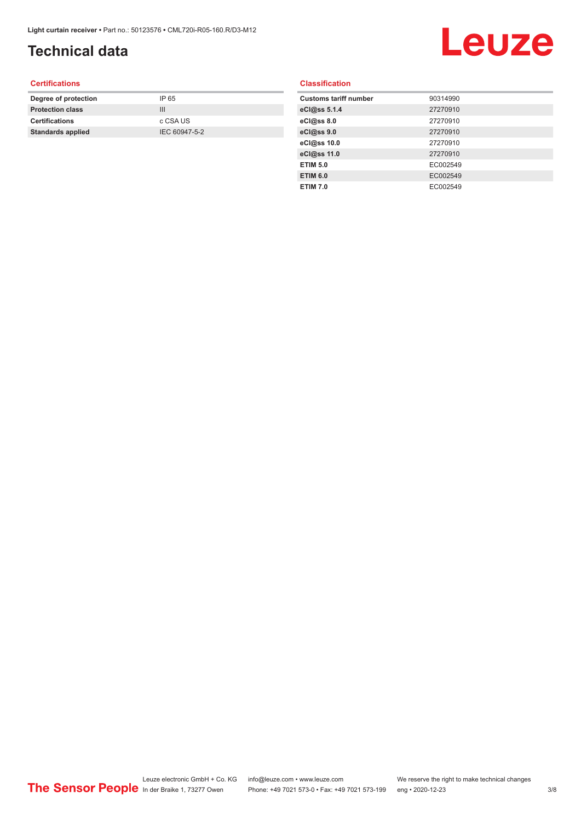### **Technical data**

## Leuze

#### **Certifications**

| Degree of protection     | IP 65         |
|--------------------------|---------------|
| <b>Protection class</b>  | Ш             |
| <b>Certifications</b>    | c CSA US      |
| <b>Standards applied</b> | IEC 60947-5-2 |
|                          |               |

#### **Classification**

| <b>Customs tariff number</b> | 90314990 |
|------------------------------|----------|
| eCl@ss 5.1.4                 | 27270910 |
| eCl@ss 8.0                   | 27270910 |
| eCl@ss 9.0                   | 27270910 |
| eCl@ss 10.0                  | 27270910 |
| eCl@ss 11.0                  | 27270910 |
| <b>ETIM 5.0</b>              | EC002549 |
| <b>ETIM 6.0</b>              | EC002549 |
| <b>ETIM 7.0</b>              | EC002549 |
|                              |          |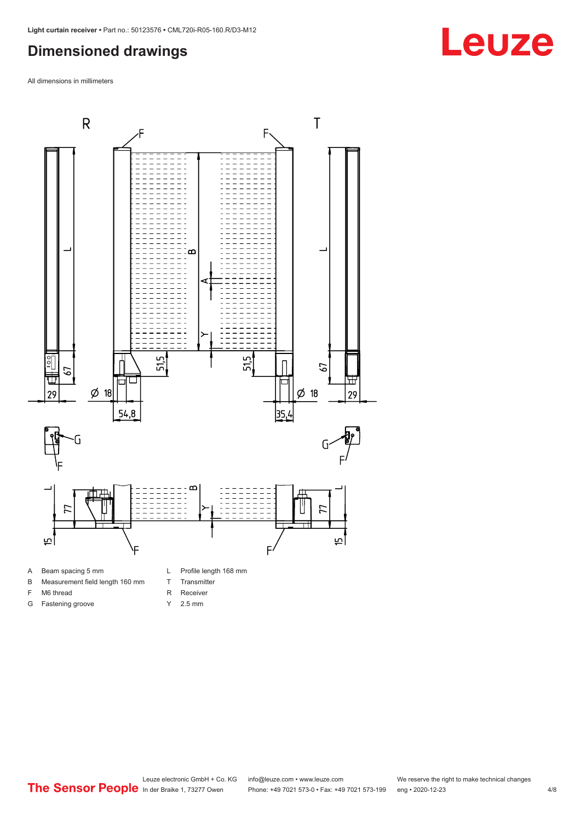#### <span id="page-3-0"></span>**Dimensioned drawings**

All dimensions in millimeters



B Measurement field length 160 mm

F M6 thread G Fastening groove T Transmitter

- R Receiver
- Y 2.5 mm
- 



## **Leuze**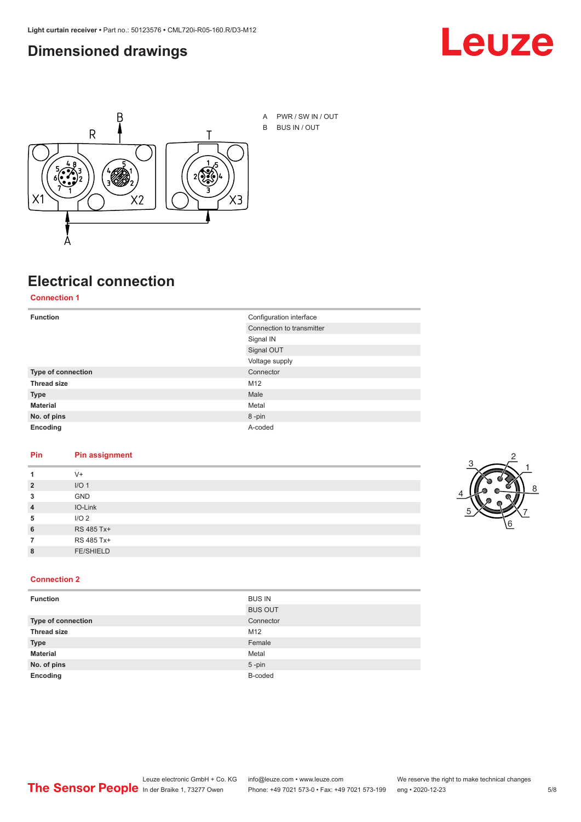#### <span id="page-4-0"></span>**Dimensioned drawings**





A PWR / SW IN / OUT B BUS IN / OUT

### **Electrical connection**

**Connection 1**

| <b>Function</b>    | Configuration interface   |  |
|--------------------|---------------------------|--|
|                    | Connection to transmitter |  |
|                    | Signal IN                 |  |
|                    | Signal OUT                |  |
|                    | Voltage supply            |  |
| Type of connection | Connector                 |  |
| <b>Thread size</b> | M12                       |  |
| <b>Type</b>        | Male                      |  |
| <b>Material</b>    | Metal                     |  |
| No. of pins        | 8-pin                     |  |
| Encoding           | A-coded                   |  |

#### **Pin Pin assignment**

|                | $V +$            |  |  |
|----------------|------------------|--|--|
| $\overline{2}$ | I/O <sub>1</sub> |  |  |
| 3              | <b>GND</b>       |  |  |
| $\overline{4}$ | IO-Link          |  |  |
| 5              | I/O <sub>2</sub> |  |  |
| 6              | RS 485 Tx+       |  |  |
|                | RS 485 Tx+       |  |  |
| 8              | <b>FE/SHIELD</b> |  |  |
|                |                  |  |  |



#### **Connection 2**

| <b>Function</b>    | <b>BUS IN</b>  |  |
|--------------------|----------------|--|
|                    | <b>BUS OUT</b> |  |
| Type of connection | Connector      |  |
| <b>Thread size</b> | M12            |  |
| <b>Type</b>        | Female         |  |
| <b>Material</b>    | Metal          |  |
| No. of pins        | $5$ -pin       |  |
| Encoding           | B-coded        |  |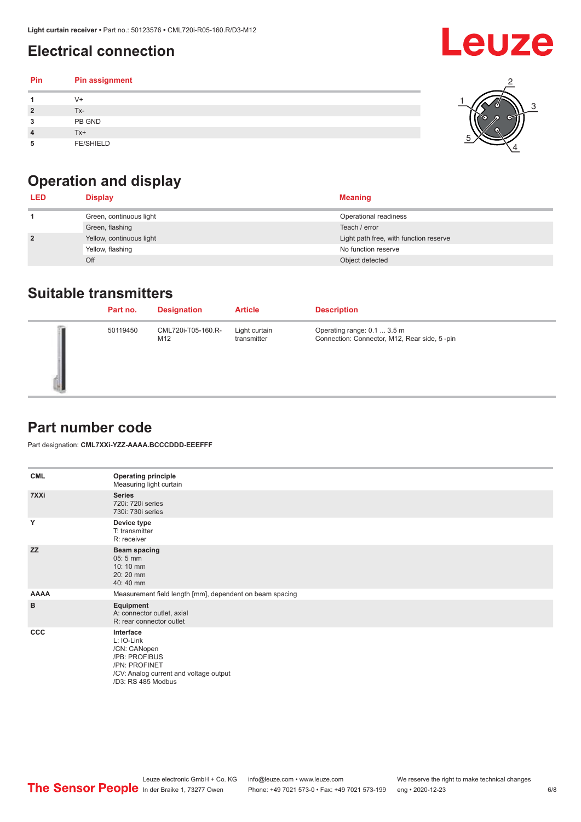### <span id="page-5-0"></span>**Electrical connection**

#### **Pin Pin assignment 1** V+ **2** Tx-**3** PB GND **4** Tx+ **5** FE/SHIELD 3 2 1 5 4

## **Operation and display**

| <b>LED</b>     | <b>Display</b>           | <b>Meaning</b>                         |
|----------------|--------------------------|----------------------------------------|
|                | Green, continuous light  | Operational readiness                  |
|                | Green, flashing          | Teach / error                          |
| $\overline{2}$ | Yellow, continuous light | Light path free, with function reserve |
|                | Yellow, flashing         | No function reserve                    |
|                | Off                      | Object detected                        |

#### **Suitable transmitters**

| Part no. | <b>Designation</b>        | <b>Article</b>               | <b>Description</b>                                                          |
|----------|---------------------------|------------------------------|-----------------------------------------------------------------------------|
| 50119450 | CML720i-T05-160.R-<br>M12 | Light curtain<br>transmitter | Operating range: 0.1  3.5 m<br>Connection: Connector, M12, Rear side, 5-pin |

#### **Part number code**

Part designation: **CML7XXi-YZZ-AAAA.BCCCDDD-EEEFFF**

| <b>CML</b>   | <b>Operating principle</b><br>Measuring light curtain                                                                                     |
|--------------|-------------------------------------------------------------------------------------------------------------------------------------------|
| 7XXi         | <b>Series</b><br>720i: 720i series<br>730i: 730i series                                                                                   |
| Y            | Device type<br>T: transmitter<br>R: receiver                                                                                              |
| <b>ZZ</b>    | <b>Beam spacing</b><br>$05:5$ mm<br>10:10 mm<br>20:20 mm<br>40:40 mm                                                                      |
| <b>AAAA</b>  | Measurement field length [mm], dependent on beam spacing                                                                                  |
| в            | Equipment<br>A: connector outlet, axial<br>R: rear connector outlet                                                                       |
| $_{\rm ccc}$ | Interface<br>L: IO-Link<br>/CN: CANopen<br>/PB: PROFIBUS<br>/PN: PROFINET<br>/CV: Analog current and voltage output<br>/D3: RS 485 Modbus |

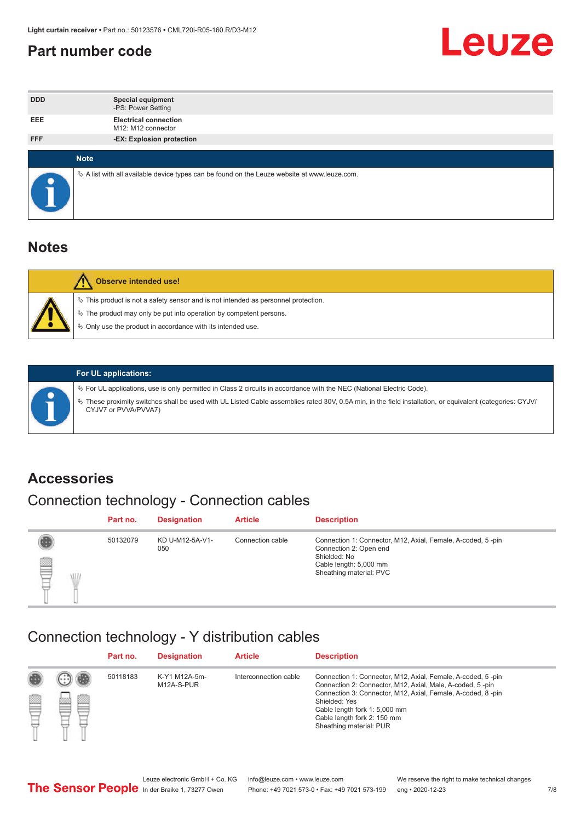#### <span id="page-6-0"></span>**Part number code**



| <b>DDD</b> | <b>Special equipment</b><br>-PS: Power Setting                                                  |
|------------|-------------------------------------------------------------------------------------------------|
| <b>EEE</b> | <b>Electrical connection</b><br>M12: M12 connector                                              |
| <b>FFF</b> | -EX: Explosion protection                                                                       |
|            |                                                                                                 |
|            | <b>Note</b>                                                                                     |
|            | $\&$ A list with all available device types can be found on the Leuze website at www.leuze.com. |

#### **Notes**

| Observe intended use!                                                                                                                                                                                                            |
|----------------------------------------------------------------------------------------------------------------------------------------------------------------------------------------------------------------------------------|
| $\%$ This product is not a safety sensor and is not intended as personnel protection.<br>$\%$ The product may only be put into operation by competent persons.<br>$\%$ Only use the product in accordance with its intended use. |
|                                                                                                                                                                                                                                  |



#### **For UL applications:**

ª For UL applications, use is only permitted in Class 2 circuits in accordance with the NEC (National Electric Code). ª These proximity switches shall be used with UL Listed Cable assemblies rated 30V, 0.5A min, in the field installation, or equivalent (categories: CYJV/ CYJV7 or PVVA/PVVA7)

#### **Accessories**

### Connection technology - Connection cables

|        | Part no. | <b>Designation</b>     | <b>Article</b>   | <b>Description</b>                                                                                                                                         |
|--------|----------|------------------------|------------------|------------------------------------------------------------------------------------------------------------------------------------------------------------|
| 2<br>W | 50132079 | KD U-M12-5A-V1-<br>050 | Connection cable | Connection 1: Connector, M12, Axial, Female, A-coded, 5-pin<br>Connection 2: Open end<br>Shielded: No<br>Cable length: 5,000 mm<br>Sheathing material: PVC |

#### Connection technology - Y distribution cables

|        |   | Part no. | <b>Designation</b>          | <b>Article</b>        | <b>Description</b>                                                                                                                                                                                                                                                                                  |
|--------|---|----------|-----------------------------|-----------------------|-----------------------------------------------------------------------------------------------------------------------------------------------------------------------------------------------------------------------------------------------------------------------------------------------------|
| 圔<br>⋿ | Ø | 50118183 | K-Y1 M12A-5m-<br>M12A-S-PUR | Interconnection cable | Connection 1: Connector, M12, Axial, Female, A-coded, 5-pin<br>Connection 2: Connector, M12, Axial, Male, A-coded, 5-pin<br>Connection 3: Connector, M12, Axial, Female, A-coded, 8-pin<br>Shielded: Yes<br>Cable length fork 1: 5,000 mm<br>Cable length fork 2: 150 mm<br>Sheathing material: PUR |